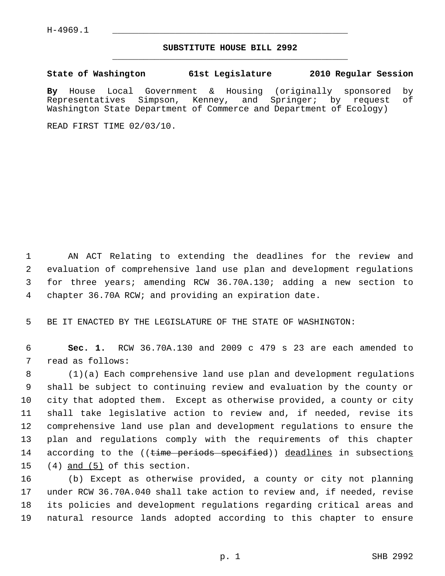## **SUBSTITUTE HOUSE BILL 2992** \_\_\_\_\_\_\_\_\_\_\_\_\_\_\_\_\_\_\_\_\_\_\_\_\_\_\_\_\_\_\_\_\_\_\_\_\_\_\_\_\_\_\_\_\_

**State of Washington 61st Legislature 2010 Regular Session**

**By** House Local Government & Housing (originally sponsored by Representatives Simpson, Kenney, and Springer; by request Washington State Department of Commerce and Department of Ecology)

READ FIRST TIME 02/03/10.

 1 AN ACT Relating to extending the deadlines for the review and 2 evaluation of comprehensive land use plan and development regulations 3 for three years; amending RCW 36.70A.130; adding a new section to 4 chapter 36.70A RCW; and providing an expiration date.

5 BE IT ENACTED BY THE LEGISLATURE OF THE STATE OF WASHINGTON:

 6 **Sec. 1.** RCW 36.70A.130 and 2009 c 479 s 23 are each amended to 7 read as follows:

 8 (1)(a) Each comprehensive land use plan and development regulations 9 shall be subject to continuing review and evaluation by the county or 10 city that adopted them. Except as otherwise provided, a county or city 11 shall take legislative action to review and, if needed, revise its 12 comprehensive land use plan and development regulations to ensure the 13 plan and regulations comply with the requirements of this chapter 14 according to the ((time periods specified)) deadlines in subsections 15 (4) and (5) of this section.

16 (b) Except as otherwise provided, a county or city not planning 17 under RCW 36.70A.040 shall take action to review and, if needed, revise 18 its policies and development regulations regarding critical areas and 19 natural resource lands adopted according to this chapter to ensure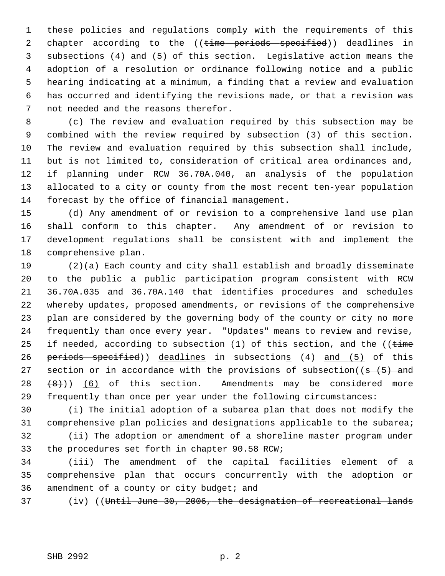1 these policies and regulations comply with the requirements of this 2 chapter according to the ((time periods specified)) deadlines in 3 subsections (4) and (5) of this section. Legislative action means the 4 adoption of a resolution or ordinance following notice and a public 5 hearing indicating at a minimum, a finding that a review and evaluation 6 has occurred and identifying the revisions made, or that a revision was 7 not needed and the reasons therefor.

 8 (c) The review and evaluation required by this subsection may be 9 combined with the review required by subsection (3) of this section. 10 The review and evaluation required by this subsection shall include, 11 but is not limited to, consideration of critical area ordinances and, 12 if planning under RCW 36.70A.040, an analysis of the population 13 allocated to a city or county from the most recent ten-year population 14 forecast by the office of financial management.

15 (d) Any amendment of or revision to a comprehensive land use plan 16 shall conform to this chapter. Any amendment of or revision to 17 development regulations shall be consistent with and implement the 18 comprehensive plan.

19 (2)(a) Each county and city shall establish and broadly disseminate 20 to the public a public participation program consistent with RCW 21 36.70A.035 and 36.70A.140 that identifies procedures and schedules 22 whereby updates, proposed amendments, or revisions of the comprehensive 23 plan are considered by the governing body of the county or city no more 24 frequently than once every year. "Updates" means to review and revise, 25 if needed, according to subsection  $(1)$  of this section, and the  $($  (time 26 periods specified)) deadlines in subsections (4) and (5) of this 27 section or in accordance with the provisions of subsection( $(s - (5)$  and  $28 + 8$ )) (6) of this section. Amendments may be considered more 29 frequently than once per year under the following circumstances:

30 (i) The initial adoption of a subarea plan that does not modify the 31 comprehensive plan policies and designations applicable to the subarea;

32 (ii) The adoption or amendment of a shoreline master program under 33 the procedures set forth in chapter 90.58 RCW;

34 (iii) The amendment of the capital facilities element of a 35 comprehensive plan that occurs concurrently with the adoption or 36 amendment of a county or city budget; and

37 (iv) ((Until June 30, 2006, the designation of recreational lands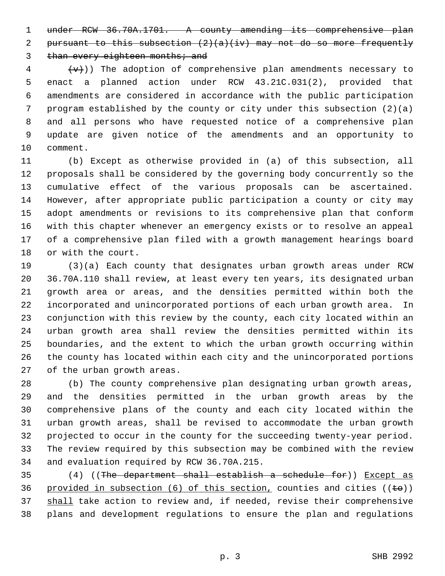1 under RCW 36.70A.1701. A county amending its comprehensive plan 2 pursuant to this subsection  $(2)(a)(iv)$  may not do so more frequently 3 than every eighteen months; and

 $\{\overline{v}\}\$  ( $\{\overline{v}\}\$ )) The adoption of comprehensive plan amendments necessary to 5 enact a planned action under RCW 43.21C.031(2), provided that 6 amendments are considered in accordance with the public participation 7 program established by the county or city under this subsection (2)(a) 8 and all persons who have requested notice of a comprehensive plan 9 update are given notice of the amendments and an opportunity to 10 comment.

11 (b) Except as otherwise provided in (a) of this subsection, all 12 proposals shall be considered by the governing body concurrently so the 13 cumulative effect of the various proposals can be ascertained. 14 However, after appropriate public participation a county or city may 15 adopt amendments or revisions to its comprehensive plan that conform 16 with this chapter whenever an emergency exists or to resolve an appeal 17 of a comprehensive plan filed with a growth management hearings board 18 or with the court.

19 (3)(a) Each county that designates urban growth areas under RCW 20 36.70A.110 shall review, at least every ten years, its designated urban 21 growth area or areas, and the densities permitted within both the 22 incorporated and unincorporated portions of each urban growth area. In 23 conjunction with this review by the county, each city located within an 24 urban growth area shall review the densities permitted within its 25 boundaries, and the extent to which the urban growth occurring within 26 the county has located within each city and the unincorporated portions 27 of the urban growth areas.

28 (b) The county comprehensive plan designating urban growth areas, 29 and the densities permitted in the urban growth areas by the 30 comprehensive plans of the county and each city located within the 31 urban growth areas, shall be revised to accommodate the urban growth 32 projected to occur in the county for the succeeding twenty-year period. 33 The review required by this subsection may be combined with the review 34 and evaluation required by RCW 36.70A.215.

35  $(4)$  ((The department shall establish a schedule for)) Except as 36 provided in subsection (6) of this section, counties and cities ( $(\pm \theta)$ ) 37 shall take action to review and, if needed, revise their comprehensive 38 plans and development regulations to ensure the plan and regulations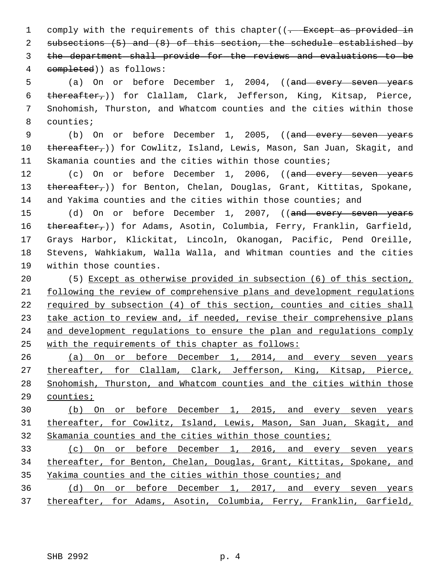1 comply with the requirements of this chapter( $(-$  Except as provided in subsections (5) and (8) of this section, the schedule established by the department shall provide for the reviews and evaluations to be completed)) as follows:

5 (a) On or before December 1, 2004, ((and every seven years 6 thereafter,)) for Clallam, Clark, Jefferson, King, Kitsap, Pierce, 7 Snohomish, Thurston, and Whatcom counties and the cities within those 8 counties;

9 (b) On or before December 1, 2005, ((and every seven years 10 thereafter,)) for Cowlitz, Island, Lewis, Mason, San Juan, Skagit, and 11 Skamania counties and the cities within those counties;

12 (c) On or before December 1, 2006, ((and every seven years 13 thereafter,)) for Benton, Chelan, Douglas, Grant, Kittitas, Spokane, 14 and Yakima counties and the cities within those counties; and

15 (d) On or before December 1, 2007, ((and every seven years 16 thereafter,)) for Adams, Asotin, Columbia, Ferry, Franklin, Garfield, 17 Grays Harbor, Klickitat, Lincoln, Okanogan, Pacific, Pend Oreille, 18 Stevens, Wahkiakum, Walla Walla, and Whitman counties and the cities 19 within those counties.

20 (5) Except as otherwise provided in subsection (6) of this section, following the review of comprehensive plans and development regulations required by subsection (4) of this section, counties and cities shall 23 take action to review and, if needed, revise their comprehensive plans and development regulations to ensure the plan and regulations comply with the requirements of this chapter as follows:

 (a) On or before December 1, 2014, and every seven years 27 thereafter, for Clallam, Clark, Jefferson, King, Kitsap, Pierce, Snohomish, Thurston, and Whatcom counties and the cities within those counties;

30 (b) On or before December 1, 2015, and every seven years 31 thereafter, for Cowlitz, Island, Lewis, Mason, San Juan, Skagit, and 32 Skamania counties and the cities within those counties;

33 (c) On or before December 1, 2016, and every seven years 34 thereafter, for Benton, Chelan, Douglas, Grant, Kittitas, Spokane, and 35 Yakima counties and the cities within those counties; and

36 (d) On or before December 1, 2017, and every seven years 37 thereafter, for Adams, Asotin, Columbia, Ferry, Franklin, Garfield,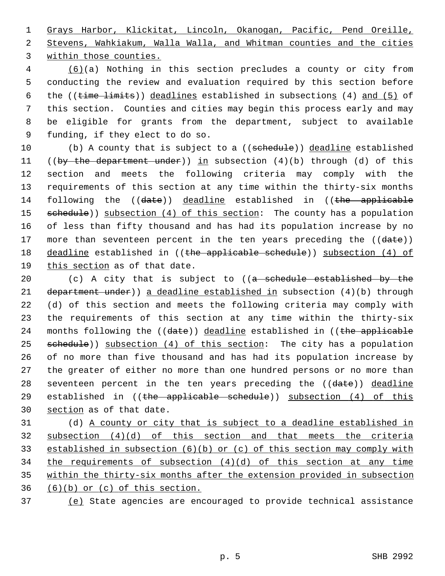1 Grays Harbor, Klickitat, Lincoln, Okanogan, Pacific, Pend Oreille, 2 Stevens, Wahkiakum, Walla Walla, and Whitman counties and the cities 3 within those counties.

 4 (6)(a) Nothing in this section precludes a county or city from 5 conducting the review and evaluation required by this section before 6 the  $((time limits))$  deadlines established in subsections  $(4)$  and  $(5)$  of 7 this section. Counties and cities may begin this process early and may 8 be eligible for grants from the department, subject to available 9 funding, if they elect to do so.

10 (b) A county that is subject to a ((schedule)) deadline established 11 ((by the department under)) in subsection (4)(b) through (d) of this 12 section and meets the following criteria may comply with the 13 requirements of this section at any time within the thirty-six months 14 following the ((date)) deadline established in ((the applicable 15 schedule)) subsection (4) of this section: The county has a population 16 of less than fifty thousand and has had its population increase by no 17 more than seventeen percent in the ten years preceding the ((date)) 18 deadline established in ((the applicable schedule)) subsection (4) of 19 this section as of that date.

20 (c) A city that is subject to  $((a - s$ chedule established by the 21 department under)) a deadline established in subsection (4)(b) through 22 (d) of this section and meets the following criteria may comply with 23 the requirements of this section at any time within the thirty-six 24 months following the ((date)) deadline established in ((the applicable 25 schedule)) subsection (4) of this section: The city has a population 26 of no more than five thousand and has had its population increase by 27 the greater of either no more than one hundred persons or no more than 28 seventeen percent in the ten years preceding the ((date)) deadline 29 established in  $($  (the applicable schedule)) subsection  $(4)$  of this 30 section as of that date.

31 (d) A county or city that is subject to a deadline established in subsection (4)(d) of this section and that meets the criteria established in subsection (6)(b) or (c) of this section may comply with 34 the requirements of subsection  $(4)(d)$  of this section at any time within the thirty-six months after the extension provided in subsection  $(6)(b)$  or  $(c)$  of this section.

37 (e) State agencies are encouraged to provide technical assistance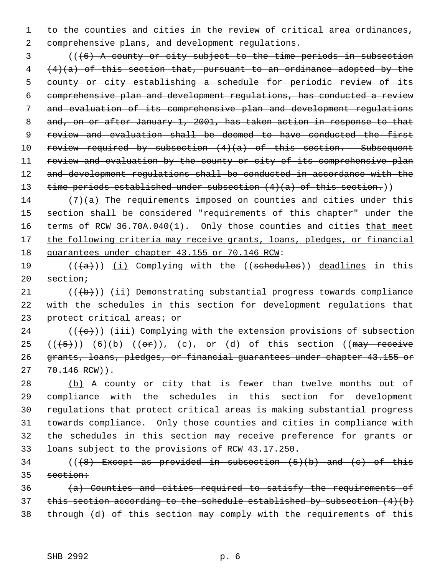1 to the counties and cities in the review of critical area ordinances, 2 comprehensive plans, and development regulations.

 3 (((6) A county or city subject to the time periods in subsection  $4 + 4$   $(a)$  of this section that, pursuant to an ordinance adopted by the 5 county or city establishing a schedule for periodic review of its 6 comprehensive plan and development regulations, has conducted a review 7 and evaluation of its comprehensive plan and development regulations 8 and, on or after January 1, 2001, has taken action in response to that 9 review and evaluation shall be deemed to have conducted the first 10 review required by subsection  $(4)(a)$  of this section. Subsequent 11 review and evaluation by the county or city of its comprehensive plan 12 and development requiations shall be conducted in accordance with the 13 time periods established under subsection  $(4)(a)$  of this section.)

14 (7)(a) The requirements imposed on counties and cities under this 15 section shall be considered "requirements of this chapter" under the 16 terms of RCW 36.70A.040(1). Only those counties and cities that meet 17 the following criteria may receive grants, loans, pledges, or financial 18 guarantees under chapter 43.155 or 70.146 RCW:

19  $((+a))$  (i) Complying with the ((schedules)) deadlines in this 20 section;

21  $((+b))$  (ii) Demonstrating substantial progress towards compliance 22 with the schedules in this section for development regulations that 23 protect critical areas; or

 $((\langle e \rangle) )$  (iii) Complying with the extension provisions of subsection  $((+5))$   $(6)(b)$   $((\theta \cdot r))_r$   $(c)$ , or  $(d)$  of this section ((may receive grants, loans, pledges, or financial guarantees under chapter 43.155 or 70.146 RCW)).

28 (b) A county or city that is fewer than twelve months out of 29 compliance with the schedules in this section for development 30 regulations that protect critical areas is making substantial progress 31 towards compliance. Only those counties and cities in compliance with 32 the schedules in this section may receive preference for grants or 33 loans subject to the provisions of RCW 43.17.250.

34 ( $(\frac{1}{8})$  Except as provided in subsection  $(5)(b)$  and  $(c)$  of this 35 section:

 $(a)$  Counties and cities required to satisfy the requirements of 37 this section according to the schedule established by subsection  $(4)(b)$ 38 through (d) of this section may comply with the requirements of this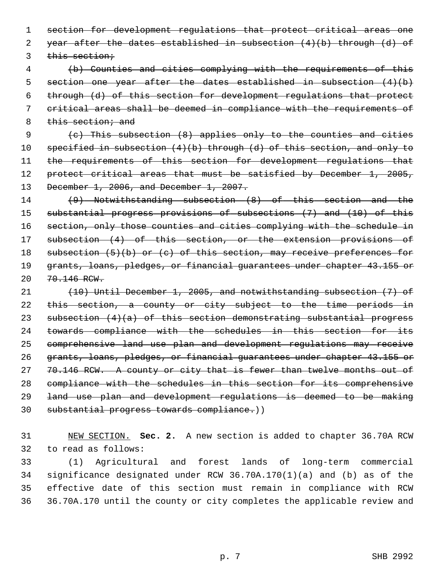1 section for development regulations that protect critical areas one 2 year after the dates established in subsection  $(4)(b)$  through  $(d)$  of 3 this section;

 (b) Counties and cities complying with the requirements of this section one year after the dates established in subsection (4)(b) through (d) of this section for development regulations that protect critical areas shall be deemed in compliance with the requirements of 8 this section; and

 9 (c) This subsection (8) applies only to the counties and cities 10 specified in subsection (4)(b) through (d) of this section, and only to 11 the requirements of this section for development regulations that 12 protect critical areas that must be satisfied by December 1, 2005, 13 December 1, 2006, and December 1, 2007.

14 (9) Notwithstanding subsection (8) of this section and the 15 substantial progress provisions of subsections (7) and (10) of this 16 section, only those counties and cities complying with the schedule in 17 subsection (4) of this section, or the extension provisions of 18 subsection (5)(b) or (c) of this section, may receive preferences for 19 grants, loans, pledges, or financial guarantees under chapter 43.155 or 20 70.146 RCW.

 (10) Until December 1, 2005, and notwithstanding subsection (7) of this section, a county or city subject to the time periods in 23 subsection (4)(a) of this section demonstrating substantial progress towards compliance with the schedules in this section for its comprehensive land use plan and development regulations may receive grants, loans, pledges, or financial guarantees under chapter 43.155 or 27 70.146 RCW. A county or city that is fewer than twelve months out of compliance with the schedules in this section for its comprehensive land use plan and development regulations is deemed to be making substantial progress towards compliance.))

31 NEW SECTION. **Sec. 2.** A new section is added to chapter 36.70A RCW 32 to read as follows:

33 (1) Agricultural and forest lands of long-term commercial 34 significance designated under RCW 36.70A.170(1)(a) and (b) as of the 35 effective date of this section must remain in compliance with RCW 36 36.70A.170 until the county or city completes the applicable review and